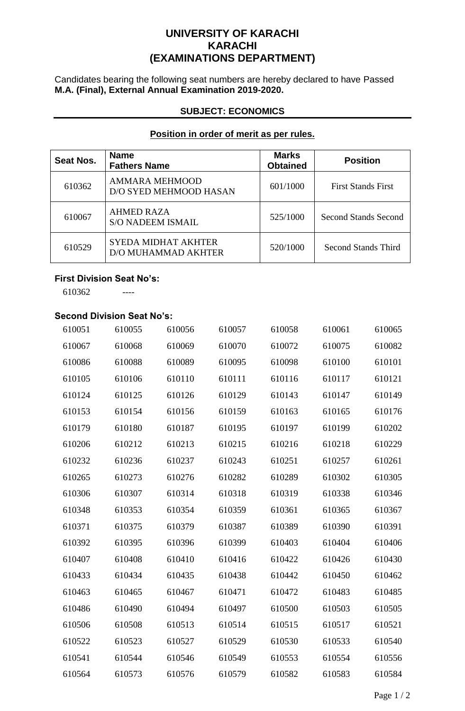# **UNIVERSITY OF KARACHI KARACHI (EXAMINATIONS DEPARTMENT)**

Candidates bearing the following seat numbers are hereby declared to have Passed **M.A. (Final), External Annual Examination 2019-2020.**

### **SUBJECT: ECONOMICS**

## **Position in order of merit as per rules.**

| <b>Seat Nos.</b> | <b>Name</b><br><b>Fathers Name</b>                | <b>Marks</b><br><b>Obtained</b> | <b>Position</b>             |
|------------------|---------------------------------------------------|---------------------------------|-----------------------------|
| 610362           | AMMARA MEHMOOD<br>D/O SYED MEHMOOD HASAN          | 601/1000                        | <b>First Stands First</b>   |
| 610067           | <b>AHMED RAZA</b><br><b>S/O NADEEM ISMAIL</b>     | 525/1000                        | <b>Second Stands Second</b> |
| 610529           | <b>SYEDA MIDHAT AKHTER</b><br>D/O MUHAMMAD AKHTER | 520/1000                        | Second Stands Third         |

## **First Division Seat No's:**

----

## **Second Division Seat No's:**

| 610051 | 610055 | 610056 | 610057 | 610058 | 610061 | 610065 |
|--------|--------|--------|--------|--------|--------|--------|
| 610067 | 610068 | 610069 | 610070 | 610072 | 610075 | 610082 |
| 610086 | 610088 | 610089 | 610095 | 610098 | 610100 | 610101 |
| 610105 | 610106 | 610110 | 610111 | 610116 | 610117 | 610121 |
| 610124 | 610125 | 610126 | 610129 | 610143 | 610147 | 610149 |
| 610153 | 610154 | 610156 | 610159 | 610163 | 610165 | 610176 |
| 610179 | 610180 | 610187 | 610195 | 610197 | 610199 | 610202 |
| 610206 | 610212 | 610213 | 610215 | 610216 | 610218 | 610229 |
| 610232 | 610236 | 610237 | 610243 | 610251 | 610257 | 610261 |
| 610265 | 610273 | 610276 | 610282 | 610289 | 610302 | 610305 |
| 610306 | 610307 | 610314 | 610318 | 610319 | 610338 | 610346 |
| 610348 | 610353 | 610354 | 610359 | 610361 | 610365 | 610367 |
| 610371 | 610375 | 610379 | 610387 | 610389 | 610390 | 610391 |
| 610392 | 610395 | 610396 | 610399 | 610403 | 610404 | 610406 |
| 610407 | 610408 | 610410 | 610416 | 610422 | 610426 | 610430 |
| 610433 | 610434 | 610435 | 610438 | 610442 | 610450 | 610462 |
| 610463 | 610465 | 610467 | 610471 | 610472 | 610483 | 610485 |
| 610486 | 610490 | 610494 | 610497 | 610500 | 610503 | 610505 |
| 610506 | 610508 | 610513 | 610514 | 610515 | 610517 | 610521 |
| 610522 | 610523 | 610527 | 610529 | 610530 | 610533 | 610540 |
| 610541 | 610544 | 610546 | 610549 | 610553 | 610554 | 610556 |
| 610564 | 610573 | 610576 | 610579 | 610582 | 610583 | 610584 |